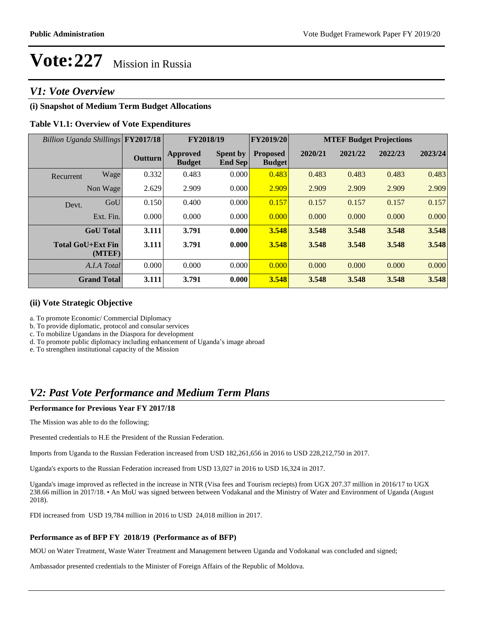# **Vote:227** Mission in Russia

# *V1: Vote Overview*

## **(i) Snapshot of Medium Term Budget Allocations**

## **Table V1.1: Overview of Vote Expenditures**

| Billion Uganda Shillings FY2017/18 |           |                | FY2018/19                        |                                   | FY2019/20                        | <b>MTEF Budget Projections</b> |         |         |         |
|------------------------------------|-----------|----------------|----------------------------------|-----------------------------------|----------------------------------|--------------------------------|---------|---------|---------|
|                                    |           | <b>Outturn</b> | <b>Approved</b><br><b>Budget</b> | <b>Spent by</b><br><b>End Sep</b> | <b>Proposed</b><br><b>Budget</b> | 2020/21                        | 2021/22 | 2022/23 | 2023/24 |
| Recurrent                          | Wage      | 0.332          | 0.483                            | 0.000                             | 0.483                            | 0.483                          | 0.483   | 0.483   | 0.483   |
|                                    | Non Wage  | 2.629          | 2.909                            | 0.000                             | 2.909                            | 2.909                          | 2.909   | 2.909   | 2.909   |
| Devt.                              | GoU       | 0.150          | 0.400                            | 0.000                             | 0.157                            | 0.157                          | 0.157   | 0.157   | 0.157   |
|                                    | Ext. Fin. | 0.000          | 0.000                            | 0.000                             | 0.000                            | 0.000                          | 0.000   | 0.000   | 0.000   |
| <b>GoU</b> Total                   |           | 3.111          | 3.791                            | 0.000                             | 3.548                            | 3.548                          | 3.548   | 3.548   | 3.548   |
| <b>Total GoU+Ext Fin</b>           | (MTEF)    | 3.111          | 3.791                            | 0.000                             | 3.548                            | 3.548                          | 3.548   | 3.548   | 3.548   |
| A.I.A Total                        |           | 0.000          | 0.000                            | 0.000                             | 0.000                            | 0.000                          | 0.000   | 0.000   | 0.000   |
| <b>Grand Total</b>                 |           | 3.111          | 3.791                            | 0.000                             | 3.548                            | 3.548                          | 3.548   | 3.548   | 3.548   |

#### **(ii) Vote Strategic Objective**

a. To promote Economic/ Commercial Diplomacy

b. To provide diplomatic, protocol and consular services

c. To mobilize Ugandans in the Diaspora for development

d. To promote public diplomacy including enhancement of Uganda's image abroad

e. To strengthen institutional capacity of the Mission

# *V2: Past Vote Performance and Medium Term Plans*

#### **Performance for Previous Year FY 2017/18**

The Mission was able to do the following;

Presented credentials to H.E the President of the Russian Federation.

Imports from Uganda to the Russian Federation increased from USD 182,261,656 in 2016 to USD 228,212,750 in 2017.

Uganda's exports to the Russian Federation increased from USD 13,027 in 2016 to USD 16,324 in 2017.

Uganda's image improved as reflected in the increase in NTR (Visa fees and Tourism reciepts) from UGX 207.37 million in 2016/17 to UGX 238.66 million in 2017/18. • An MoU was signed between between Vodakanal and the Ministry of Water and Environment of Uganda (August 2018).

FDI increased from USD 19,784 million in 2016 to USD 24,018 million in 2017.

### **Performance as of BFP FY 2018/19 (Performance as of BFP)**

MOU on Water Treatment, Waste Water Treatment and Management between Uganda and Vodokanal was concluded and signed;

Ambassador presented credentials to the Minister of Foreign Affairs of the Republic of Moldova.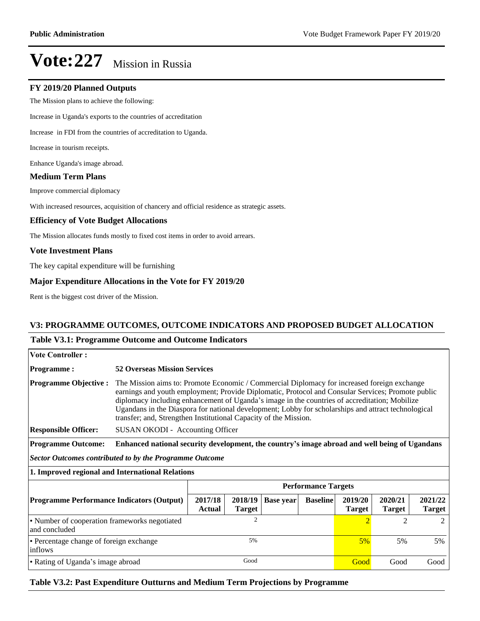# **Vote:227** Mission in Russia

#### **FY 2019/20 Planned Outputs**

The Mission plans to achieve the following:

Increase in Uganda's exports to the countries of accreditation

Increase in FDI from the countries of accreditation to Uganda.

Increase in tourism receipts.

Enhance Uganda's image abroad.

#### **Medium Term Plans**

Improve commercial diplomacy

With increased resources, acquisition of chancery and official residence as strategic assets.

#### **Efficiency of Vote Budget Allocations**

The Mission allocates funds mostly to fixed cost items in order to avoid arrears.

#### **Vote Investment Plans**

The key capital expenditure will be furnishing

#### **Major Expenditure Allocations in the Vote for FY 2019/20**

Rent is the biggest cost driver of the Mission.

#### **V3: PROGRAMME OUTCOMES, OUTCOME INDICATORS AND PROPOSED BUDGET ALLOCATION**

#### **Table V3.1: Programme Outcome and Outcome Indicators**

| <b>Vote Controller:</b>                                        |                                                                                                                                                                                                                                                                                                                                                                                                                                                                                                                  |                          |                          |                  |                 |                          |                          |                          |  |  |
|----------------------------------------------------------------|------------------------------------------------------------------------------------------------------------------------------------------------------------------------------------------------------------------------------------------------------------------------------------------------------------------------------------------------------------------------------------------------------------------------------------------------------------------------------------------------------------------|--------------------------|--------------------------|------------------|-----------------|--------------------------|--------------------------|--------------------------|--|--|
| <b>Programme:</b>                                              | <b>52 Overseas Mission Services</b>                                                                                                                                                                                                                                                                                                                                                                                                                                                                              |                          |                          |                  |                 |                          |                          |                          |  |  |
| <b>Programme Objective:</b><br><b>Responsible Officer:</b>     | The Mission aims to: Promote Economic / Commercial Diplomacy for increased foreign exchange<br>earnings and youth employment; Provide Diplomatic, Protocol and Consular Services; Promote public<br>diplomacy including enhancement of Uganda's image in the countries of accreditation; Mobilize<br>Ugandans in the Diaspora for national development; Lobby for scholarships and attract technological<br>transfer; and, Strengthen Institutional Capacity of the Mission.<br>SUSAN OKODI - Accounting Officer |                          |                          |                  |                 |                          |                          |                          |  |  |
| <b>Programme Outcome:</b>                                      | Enhanced national security development, the country's image abroad and well being of Ugandans                                                                                                                                                                                                                                                                                                                                                                                                                    |                          |                          |                  |                 |                          |                          |                          |  |  |
| <b>Sector Outcomes contributed to by the Programme Outcome</b> |                                                                                                                                                                                                                                                                                                                                                                                                                                                                                                                  |                          |                          |                  |                 |                          |                          |                          |  |  |
| 1. Improved regional and International Relations               |                                                                                                                                                                                                                                                                                                                                                                                                                                                                                                                  |                          |                          |                  |                 |                          |                          |                          |  |  |
|                                                                | <b>Performance Targets</b>                                                                                                                                                                                                                                                                                                                                                                                                                                                                                       |                          |                          |                  |                 |                          |                          |                          |  |  |
| <b>Programme Performance Indicators (Output)</b>               |                                                                                                                                                                                                                                                                                                                                                                                                                                                                                                                  | 2017/18<br><b>Actual</b> | 2018/19<br><b>Target</b> | <b>Base year</b> | <b>Baseline</b> | 2019/20<br><b>Target</b> | 2020/21<br><b>Target</b> | 2021/22<br><b>Target</b> |  |  |
| • Number of cooperation frameworks negotiated<br>and concluded |                                                                                                                                                                                                                                                                                                                                                                                                                                                                                                                  | $\mathfrak{2}$           |                          |                  |                 | $\overline{2}$           | $\mathfrak{D}$           | 2                        |  |  |
| • Percentage change of foreign exchange<br>inflows             |                                                                                                                                                                                                                                                                                                                                                                                                                                                                                                                  | 5%                       |                          |                  |                 | 5%                       | 5%                       | 5%                       |  |  |
| • Rating of Uganda's image abroad                              |                                                                                                                                                                                                                                                                                                                                                                                                                                                                                                                  | Good                     |                          |                  |                 | Good                     | Good                     | Good                     |  |  |

### **Table V3.2: Past Expenditure Outturns and Medium Term Projections by Programme**